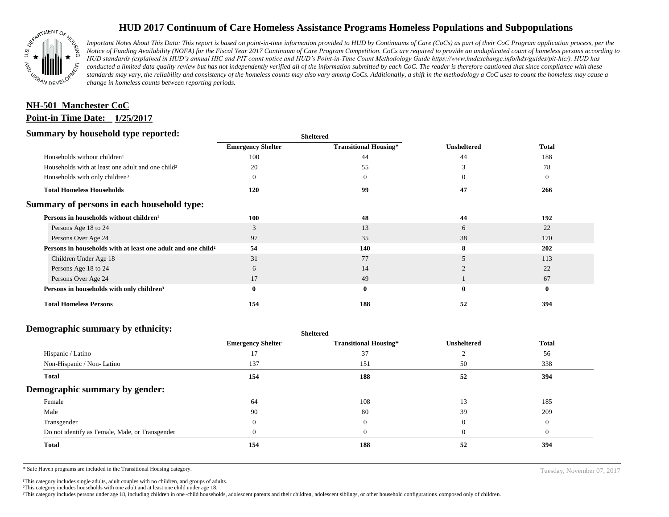

# **HUD 2017 Continuum of Care Homeless Assistance Programs Homeless Populations and Subpopulations**

*Important Notes About This Data: This report is based on point-in-time information provided to HUD by Continuums of Care (CoCs) as part of their CoC Program application process, per the Notice of Funding Availability (NOFA) for the Fiscal Year 2017 Continuum of Care Program Competition. CoCs are required to provide an unduplicated count of homeless persons according to HUD standards (explained in HUD's annual HIC and PIT count notice and HUD's Point-in-Time Count Methodology Guide https://www.hudexchange.info/hdx/guides/pit-hic/). HUD has conducted a limited data quality review but has not independently verified all of the information submitted by each CoC. The reader is therefore cautioned that since compliance with these*  standards may vary, the reliability and consistency of the homeless counts may also vary among CoCs. Additionally, a shift in the methodology a CoC uses to count the homeless may cause a *change in homeless counts between reporting periods.*

# **Point-in Time Date: 1/25/2017 NH-501 Manchester CoC**

#### **Summary by household type reported:**

| эчнинагу бу почвеною туре герогіесі:                                     |                          | <b>Sheltered</b>             |                    |                |
|--------------------------------------------------------------------------|--------------------------|------------------------------|--------------------|----------------|
|                                                                          | <b>Emergency Shelter</b> | <b>Transitional Housing*</b> | <b>Unsheltered</b> | <b>Total</b>   |
| Households without children <sup>1</sup>                                 | 100                      | 44                           | 44                 | 188            |
| Households with at least one adult and one child?                        | 20                       | 55                           |                    | 78             |
| Households with only children <sup>3</sup>                               |                          | $\theta$                     | $\Omega$           | $\overline{0}$ |
| <b>Total Homeless Households</b>                                         | 120                      | 99                           | 47                 | 266            |
| Summary of persons in each household type:                               |                          |                              |                    |                |
| Persons in households without children <sup>1</sup>                      | 100                      | 48                           | 44                 | 192            |
| Persons Age 18 to 24                                                     | 3                        | 13                           | 6                  | 22             |
| Persons Over Age 24                                                      | 97                       | 35                           | 38                 | 170            |
| Persons in households with at least one adult and one child <sup>2</sup> | 54                       | 140                          |                    | 202            |
| Children Under Age 18                                                    | 31                       | 77                           |                    | 113            |
| Persons Age 18 to 24                                                     | 6                        | 14                           |                    | 22             |
| Persons Over Age 24                                                      | 17                       | 49                           |                    | 67             |
| Persons in households with only children <sup>3</sup>                    |                          | $\bf{0}$                     | $\bf{0}$           | $\bf{0}$       |
| <b>Total Homeless Persons</b>                                            | 154                      | 188                          | 52                 | 394            |

#### **Demographic summary by ethnicity:**

| ີ<br>. .<br>$\cdot$ $\cdot$                     | Sneitered                |                              |                    |              |
|-------------------------------------------------|--------------------------|------------------------------|--------------------|--------------|
|                                                 | <b>Emergency Shelter</b> | <b>Transitional Housing*</b> | <b>Unsheltered</b> | <b>Total</b> |
| Hispanic / Latino                               | 17                       | 37                           |                    | 56           |
| Non-Hispanic / Non-Latino                       | 137                      | 151                          | 50                 | 338          |
| <b>Total</b>                                    | 154                      | 188                          | 52                 | 394          |
| Demographic summary by gender:                  |                          |                              |                    |              |
| Female                                          | 64                       | 108                          | 13                 | 185          |
| Male                                            | 90                       | 80                           | 39                 | 209          |
| Transgender                                     |                          | $\mathbf{0}$                 | $\theta$           | $\theta$     |
| Do not identify as Female, Male, or Transgender |                          | $\mathbf{0}$                 | $\mathbf{U}$       | $\Omega$     |
| Total                                           | 154                      | 188                          | 52                 | 394          |
|                                                 |                          |                              |                    |              |

**Sheltered**

\* Safe Haven programs are included in the Transitional Housing category. Tuesday, November 07, 2017

<sup>1</sup>This category includes single adults, adult couples with no children, and groups of adults.

²This category includes households with one adult and at least one child under age 18.

³This category includes persons under age 18, including children in one -child households, adolescent parents and their children, adolescent siblings, or other household configurations composed only of children.